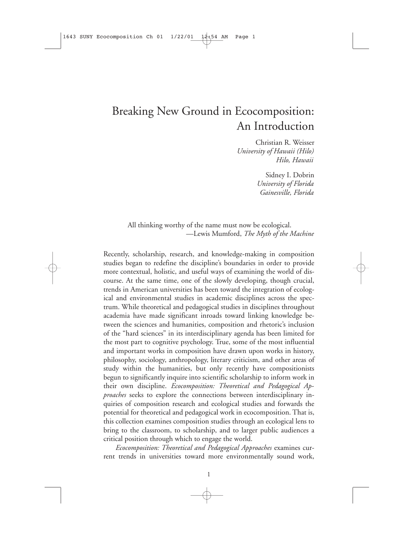## Breaking New Ground in Ecocomposition: An Introduction

Christian R. Weisser *University of Hawaii (Hilo) Hilo, Hawaii*

> Sidney I. Dobrin *University of Florida Gainesville, Florida*

## All thinking worthy of the name must now be ecological. —Lewis Mumford, *The Myth of the Machine*

Recently, scholarship, research, and knowledge-making in composition studies began to redefine the discipline's boundaries in order to provide more contextual, holistic, and useful ways of examining the world of discourse. At the same time, one of the slowly developing, though crucial, trends in American universities has been toward the integration of ecological and environmental studies in academic disciplines across the spectrum. While theoretical and pedagogical studies in disciplines throughout academia have made significant inroads toward linking knowledge between the sciences and humanities, composition and rhetoric's inclusion of the "hard sciences" in its interdisciplinary agenda has been limited for the most part to cognitive psychology. True, some of the most influential and important works in composition have drawn upon works in history, philosophy, sociology, anthropology, literary criticism, and other areas of study within the humanities, but only recently have compositionists begun to significantly inquire into scientific scholarship to inform work in their own discipline. *Ecocomposition: Theoretical and Pedagogical Approaches* seeks to explore the connections between interdisciplinary inquiries of composition research and ecological studies and forwards the potential for theoretical and pedagogical work in ecocomposition. That is, this collection examines composition studies through an ecological lens to bring to the classroom, to scholarship, and to larger public audiences a critical position through which to engage the world.

*Ecocomposition: Theoretical and Pedagogical Approaches* examines current trends in universities toward more environmentally sound work,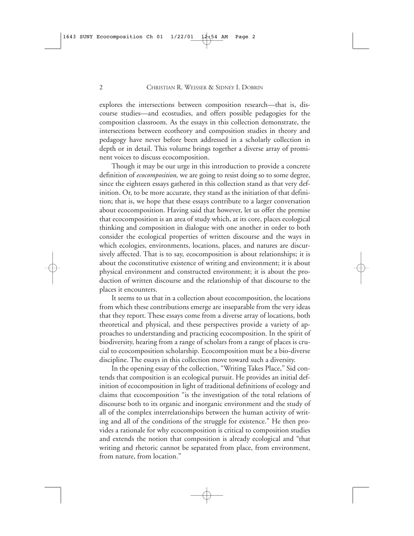explores the intersections between composition research—that is, discourse studies—and ecostudies, and offers possible pedagogies for the composition classroom. As the essays in this collection demonstrate, the intersections between ecotheory and composition studies in theory and pedagogy have never before been addressed in a scholarly collection in depth or in detail. This volume brings together a diverse array of prominent voices to discuss ecocomposition.

Though it may be our urge in this introduction to provide a concrete definition of *ecocomposition,* we are going to resist doing so to some degree, since the eighteen essays gathered in this collection stand as that very definition. Or, to be more accurate, they stand as the initiation of that definition; that is, we hope that these essays contribute to a larger conversation about ecocomposition. Having said that however, let us offer the premise that ecocomposition is an area of study which, at its core, places ecological thinking and composition in dialogue with one another in order to both consider the ecological properties of written discourse and the ways in which ecologies, environments, locations, places, and natures are discursively affected. That is to say, ecocomposition is about relationships; it is about the coconstitutive existence of writing and environment; it is about physical environment and constructed environment; it is about the production of written discourse and the relationship of that discourse to the places it encounters.

It seems to us that in a collection about ecocomposition, the locations from which these contributions emerge are inseparable from the very ideas that they report. These essays come from a diverse array of locations, both theoretical and physical, and these perspectives provide a variety of approaches to understanding and practicing ecocomposition. In the spirit of biodiversity, hearing from a range of scholars from a range of places is crucial to ecocomposition scholarship. Ecocomposition must be a bio-diverse discipline. The essays in this collection move toward such a diversity.

In the opening essay of the collection, "Writing Takes Place," Sid contends that composition is an ecological pursuit. He provides an initial definition of ecocomposition in light of traditional definitions of ecology and claims that ecocomposition "is the investigation of the total relations of discourse both to its organic and inorganic environment and the study of all of the complex interrelationships between the human activity of writing and all of the conditions of the struggle for existence." He then provides a rationale for why ecocomposition is critical to composition studies and extends the notion that composition is already ecological and "that writing and rhetoric cannot be separated from place, from environment, from nature, from location."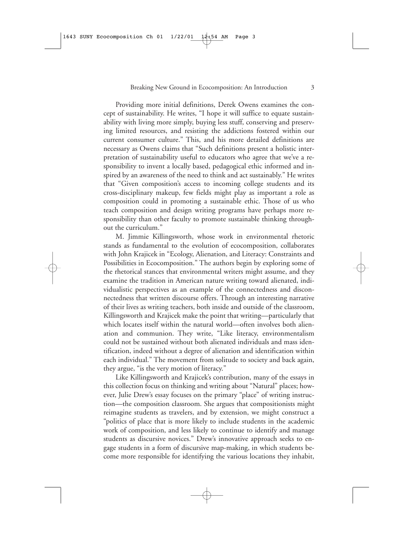Providing more initial definitions, Derek Owens examines the concept of sustainability. He writes, "I hope it will suffice to equate sustainability with living more simply, buying less stuff, conserving and preserving limited resources, and resisting the addictions fostered within our current consumer culture." This, and his more detailed definitions are necessary as Owens claims that "Such definitions present a holistic interpretation of sustainability useful to educators who agree that we've a responsibility to invent a locally based, pedagogical ethic informed and inspired by an awareness of the need to think and act sustainably." He writes that "Given composition's access to incoming college students and its cross-disciplinary makeup, few fields might play as important a role as composition could in promoting a sustainable ethic. Those of us who teach composition and design writing programs have perhaps more responsibility than other faculty to promote sustainable thinking throughout the curriculum."

M. Jimmie Killingsworth, whose work in environmental rhetoric stands as fundamental to the evolution of ecocomposition, collaborates with John Krajicek in "Ecology, Alienation, and Literacy: Constraints and Possibilities in Ecocomposition." The authors begin by exploring some of the rhetorical stances that environmental writers might assume, and they examine the tradition in American nature writing toward alienated, individualistic perspectives as an example of the connectedness and disconnectedness that written discourse offers. Through an interesting narrative of their lives as writing teachers, both inside and outside of the classroom, Killingsworth and Krajicek make the point that writing—particularly that which locates itself within the natural world—often involves both alienation and communion. They write, "Like literacy, environmentalism could not be sustained without both alienated individuals and mass identification, indeed without a degree of alienation and identification within each individual." The movement from solitude to society and back again, they argue, "is the very motion of literacy."

Like Killingsworth and Krajicek's contribution, many of the essays in this collection focus on thinking and writing about "Natural" places; however, Julie Drew's essay focuses on the primary "place" of writing instruction—the composition classroom. She argues that compositionists might reimagine students as travelers, and by extension, we might construct a "politics of place that is more likely to include students in the academic work of composition, and less likely to continue to identify and manage students as discursive novices." Drew's innovative approach seeks to engage students in a form of discursive map-making, in which students become more responsible for identifying the various locations they inhabit,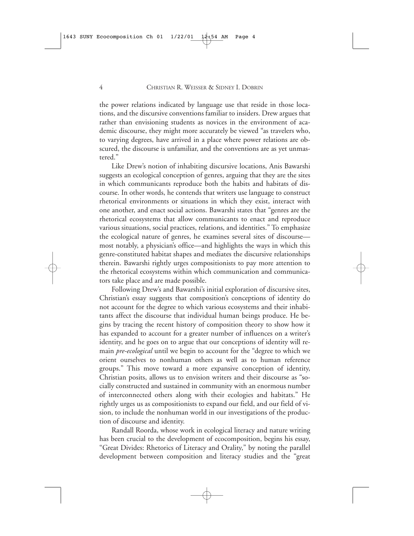the power relations indicated by language use that reside in those locations, and the discursive conventions familiar to insiders. Drew argues that rather than envisioning students as novices in the environment of academic discourse, they might more accurately be viewed "as travelers who, to varying degrees, have arrived in a place where power relations are obscured, the discourse is unfamiliar, and the conventions are as yet unmastered."

Like Drew's notion of inhabiting discursive locations, Anis Bawarshi suggests an ecological conception of genres, arguing that they are the sites in which communicants reproduce both the habits and habitats of discourse. In other words, he contends that writers use language to construct rhetorical environments or situations in which they exist, interact with one another, and enact social actions. Bawarshi states that "genres are the rhetorical ecosystems that allow communicants to enact and reproduce various situations, social practices, relations, and identities." To emphasize the ecological nature of genres, he examines several sites of discourse most notably, a physician's office—and highlights the ways in which this genre-constituted habitat shapes and mediates the discursive relationships therein. Bawarshi rightly urges compositionists to pay more attention to the rhetorical ecosystems within which communication and communicators take place and are made possible.

Following Drew's and Bawarshi's initial exploration of discursive sites, Christian's essay suggests that composition's conceptions of identity do not account for the degree to which various ecosystems and their inhabitants affect the discourse that individual human beings produce. He begins by tracing the recent history of composition theory to show how it has expanded to account for a greater number of influences on a writer's identity, and he goes on to argue that our conceptions of identity will remain *pre-ecological* until we begin to account for the "degree to which we orient ourselves to nonhuman others as well as to human reference groups." This move toward a more expansive conception of identity, Christian posits, allows us to envision writers and their discourse as "socially constructed and sustained in community with an enormous number of interconnected others along with their ecologies and habitats." He rightly urges us as compositionists to expand our field, and our field of vision, to include the nonhuman world in our investigations of the production of discourse and identity.

Randall Roorda, whose work in ecological literacy and nature writing has been crucial to the development of ecocomposition, begins his essay, "Great Divides: Rhetorics of Literacy and Orality," by noting the parallel development between composition and literacy studies and the "great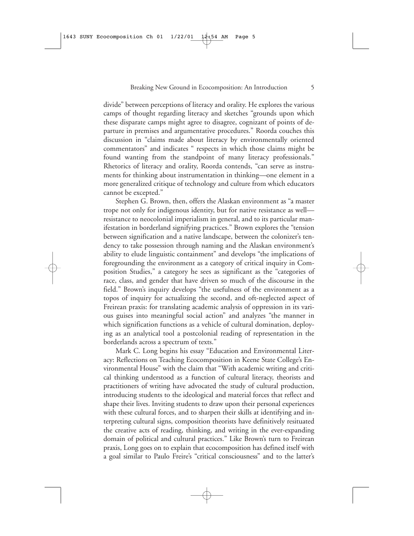divide" between perceptions of literacy and orality. He explores the various camps of thought regarding literacy and sketches "grounds upon which these disparate camps might agree to disagree, cognizant of points of departure in premises and argumentative procedures." Roorda couches this discussion in "claims made about literacy by environmentally oriented commentators" and indicates " respects in which those claims might be found wanting from the standpoint of many literacy professionals." Rhetorics of literacy and orality, Roorda contends, "can serve as instruments for thinking about instrumentation in thinking—one element in a more generalized critique of technology and culture from which educators cannot be excepted."

Stephen G. Brown, then, offers the Alaskan environment as "a master trope not only for indigenous identity, but for native resistance as well resistance to neocolonial imperialism in general, and to its particular manifestation in borderland signifying practices." Brown explores the "tension between signification and a native landscape, between the colonizer's tendency to take possession through naming and the Alaskan environment's ability to elude linguistic containment" and develops "the implications of foregrounding the environment as a category of critical inquiry in Composition Studies," a category he sees as significant as the "categories of race, class, and gender that have driven so much of the discourse in the field." Brown's inquiry develops "the usefulness of the environment as a topos of inquiry for actualizing the second, and oft-neglected aspect of Freirean praxis: for translating academic analysis of oppression in its various guises into meaningful social action" and analyzes "the manner in which signification functions as a vehicle of cultural domination, deploying as an analytical tool a postcolonial reading of representation in the borderlands across a spectrum of texts."

Mark C. Long begins his essay "Education and Environmental Literacy: Reflections on Teaching Ecocomposition in Keene State College's Environmental House" with the claim that "With academic writing and critical thinking understood as a function of cultural literacy, theorists and practitioners of writing have advocated the study of cultural production, introducing students to the ideological and material forces that reflect and shape their lives. Inviting students to draw upon their personal experiences with these cultural forces, and to sharpen their skills at identifying and interpreting cultural signs, composition theorists have definitively resituated the creative acts of reading, thinking, and writing in the ever-expanding domain of political and cultural practices." Like Brown's turn to Freirean praxis, Long goes on to explain that ecocomposition has defined itself with a goal similar to Paulo Freire's "critical consciousness" and to the latter's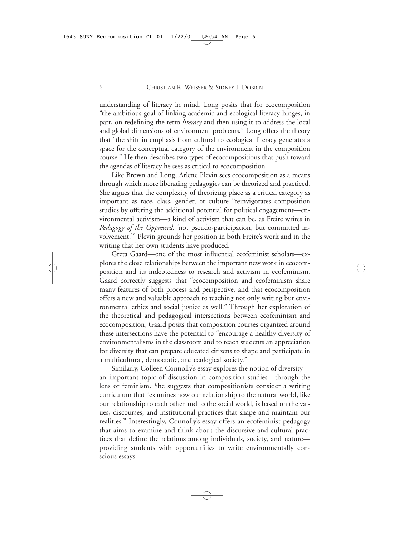understanding of literacy in mind. Long posits that for ecocomposition "the ambitious goal of linking academic and ecological literacy hinges, in part, on redefining the term *literacy* and then using it to address the local and global dimensions of environment problems." Long offers the theory that "the shift in emphasis from cultural to ecological literacy generates a space for the conceptual category of the environment in the composition course." He then describes two types of ecocompositions that push toward the agendas of literacy he sees as critical to ecocomposition.

Like Brown and Long, Arlene Plevin sees ecocomposition as a means through which more liberating pedagogies can be theorized and practiced. She argues that the complexity of theorizing place as a critical category as important as race, class, gender, or culture "reinvigorates composition studies by offering the additional potential for political engagement—environmental activism—a kind of activism that can be, as Freire writes in *Pedagogy of the Oppressed,* 'not pseudo-participation, but committed involvement.'" Plevin grounds her position in both Freire's work and in the writing that her own students have produced.

Greta Gaard—one of the most influential ecofeminist scholars—explores the close relationships between the important new work in ecocomposition and its indebtedness to research and activism in ecofeminism. Gaard correctly suggests that "ecocomposition and ecofeminism share many features of both process and perspective, and that ecocomposition offers a new and valuable approach to teaching not only writing but environmental ethics and social justice as well." Through her exploration of the theoretical and pedagogical intersections between ecofeminism and ecocomposition, Gaard posits that composition courses organized around these intersections have the potential to "encourage a healthy diversity of environmentalisms in the classroom and to teach students an appreciation for diversity that can prepare educated citizens to shape and participate in a multicultural, democratic, and ecological society."

Similarly, Colleen Connolly's essay explores the notion of diversity an important topic of discussion in composition studies—through the lens of feminism. She suggests that compositionists consider a writing curriculum that "examines how our relationship to the natural world, like our relationship to each other and to the social world, is based on the values, discourses, and institutional practices that shape and maintain our realities." Interestingly, Connolly's essay offers an ecofeminist pedagogy that aims to examine and think about the discursive and cultural practices that define the relations among individuals, society, and nature providing students with opportunities to write environmentally conscious essays.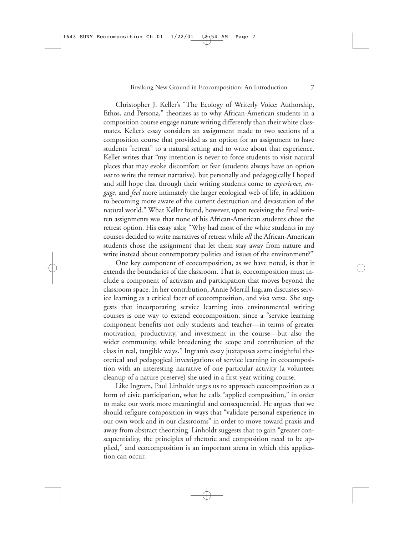Christopher J. Keller's "The Ecology of Writerly Voice: Authorship, Ethos, and Persona," theorizes as to why African-American students in a composition course engage nature writing differently than their white classmates. Keller's essay considers an assignment made to two sections of a composition course that provided as an option for an assignment to have students "retreat" to a natural setting and to write about that experience. Keller writes that "my intention is never to force students to visit natural places that may evoke discomfort or fear (students always have an option *not* to write the retreat narrative), but personally and pedagogically I hoped and still hope that through their writing students come to *experience, engage,* and *feel* more intimately the larger ecological web of life, in addition to becoming more aware of the current destruction and devastation of the natural world." What Keller found, however, upon receiving the final written assignments was that none of his African-American students chose the retreat option. His essay asks; "Why had most of the white students in my courses decided to write narratives of retreat while *all* the African-American students chose the assignment that let them stay away from nature and write instead about contemporary politics and issues of the environment?"

One key component of ecocomposition, as we have noted, is that it extends the boundaries of the classroom. That is, ecocomposition must include a component of activism and participation that moves beyond the classroom space. In her contribution, Annie Merrill Ingram discusses service learning as a critical facet of ecocomposition, and visa versa. She suggests that incorporating service learning into environmental writing courses is one way to extend ecocomposition, since a "service learning component benefits not only students and teacher—in terms of greater motivation, productivity, and investment in the course—but also the wider community, while broadening the scope and contribution of the class in real, tangible ways." Ingram's essay juxtaposes some insightful theoretical and pedagogical investigations of service learning in ecocomposition with an interesting narrative of one particular activity (a volunteer cleanup of a nature preserve) she used in a first-year writing course.

Like Ingram, Paul Linholdt urges us to approach ecocomposition as a form of civic participation, what he calls "applied composition," in order to make our work more meaningful and consequential. He argues that we should refigure composition in ways that "validate personal experience in our own work and in our classrooms" in order to move toward praxis and away from abstract theorizing. Linholdt suggests that to gain "greater consequentiality, the principles of rhetoric and composition need to be applied," and ecocomposition is an important arena in which this application can occur.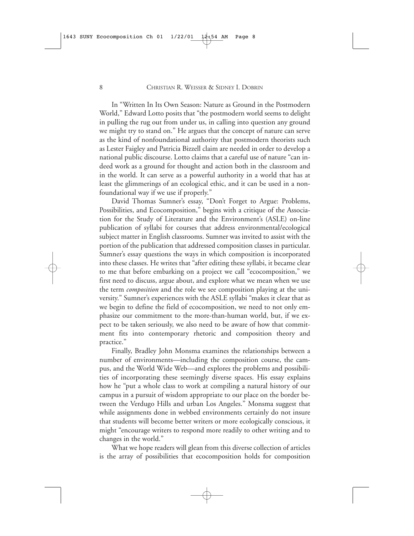In "Written In Its Own Season: Nature as Ground in the Postmodern World," Edward Lotto posits that "the postmodern world seems to delight in pulling the rug out from under us, in calling into question any ground we might try to stand on." He argues that the concept of nature can serve as the kind of nonfoundational authority that postmodern theorists such as Lester Faigley and Patricia Bizzell claim are needed in order to develop a national public discourse. Lotto claims that a careful use of nature "can indeed work as a ground for thought and action both in the classroom and in the world. It can serve as a powerful authority in a world that has at least the glimmerings of an ecological ethic, and it can be used in a nonfoundational way if we use if properly."

David Thomas Sumner's essay, "Don't Forget to Argue: Problems, Possibilities, and Ecocomposition," begins with a critique of the Association for the Study of Literature and the Environment's (ASLE) on-line publication of syllabi for courses that address environmental/ecological subject matter in English classrooms. Sumner was invited to assist with the portion of the publication that addressed composition classes in particular. Sumner's essay questions the ways in which composition is incorporated into these classes. He writes that "after editing these syllabi, it became clear to me that before embarking on a project we call "ecocomposition," we first need to discuss, argue about, and explore what we mean when we use the term *composition* and the role we see composition playing at the university." Sumner's experiences with the ASLE syllabi "makes it clear that as we begin to define the field of ecocomposition, we need to not only emphasize our commitment to the more-than-human world, but, if we expect to be taken seriously, we also need to be aware of how that commitment fits into contemporary rhetoric and composition theory and practice."

Finally, Bradley John Monsma examines the relationships between a number of environments—including the composition course, the campus, and the World Wide Web—and explores the problems and possibilities of incorporating these seemingly diverse spaces. His essay explains how he "put a whole class to work at compiling a natural history of our campus in a pursuit of wisdom appropriate to our place on the border between the Verdugo Hills and urban Los Angeles." Monsma suggest that while assignments done in webbed environments certainly do not insure that students will become better writers or more ecologically conscious, it might "encourage writers to respond more readily to other writing and to changes in the world."

What we hope readers will glean from this diverse collection of articles is the array of possibilities that ecocomposition holds for composition